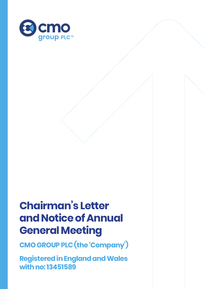

# **Chairman's Letter and Notice of Annual General Meeting**

**CMO GROUP PLC (the 'Company')**

**Registered in England and Wales with no: 13451589**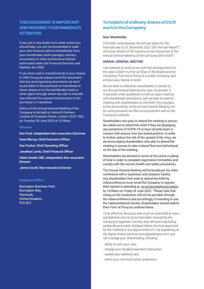## **THIS DOCUMENT IS IMPORTANT AND REQUIRES YOUR IMMEDIATE ATTENTION**

If you are in any doubt as to what action you should take, you are recommended to seek your own financial advice immediately from your stockbroker, bank manager, solicitor, accountant or other professional adviser authorised under the Financial Services and Markets Act 2000.

If you have sold or transferred all of your shares in CMO Group plc please send this document and any accompanying documents as soon as possible to the purchaser or transferee of those shares or to the stockbroker, bank or other agent through whom the sale or transfer was effected for onward transmission to the purchaser or transferee.

Notice of the Annual General Meeting of the Company to be held at Instinctif Partners Limited, 65 Gresham Street, London, EC2V 7NQ, on Tuesday 28 June 2022 at 10.00am.

#### **Directors**

**Ken Ford, Independent Non-executive Chairman**

**Dean Murray, Chief Executive Officer**

**Sue Packer, Chief Operating Officer**

**Jonathan Lamb, Chief Financial Officer** 

**Helen Deeble CBE, Independent Non-executive Director** 

**James Excell, Non-executive Director**

## **Registered Office**

Burrington Business Park, Burrington Way, Plymouth, United Kingdom, PL5 3LX

## **To holders of ordinary shares of £0.01 each in the Company.**

### Dear Shareholder,

This letter accompanies the annual report for the financial year to 31 December 2021 (the "Annual Report") and gives details of the business to be transacted at the Annual General Meeting of the Company (the "AGM").

## **ANNUAL GENERAL MEETING**

I am pleased to write to you with the arrangements for this year's AGM, my first as Chair of the Board and the Company's first since listing as a public company, and enclose your Notice of AGM.

We are keen to welcome shareholders in person to our Annual General Meeting this year. At present, it is possible under guidelines to hold an open meeting with shareholder attendance, and we look forward to meeting with shareholders at the AGM. Any changes to the accessibility of the Annual General Meeting will be communicated via RNS announcement and on the Company's website.

Shareholders who plan to attend the meeting in person are asked not to attend the AGM if they are displaying any symptoms of COVID-19 or have recently been in contact with anyone who has tested positive. In order to further reduce the risk of the spread of the virus, we are encouraging shareholders who plan to attend the meeting in person to take a lateral flow test beforehand, on the day of the meeting.

Shareholders are advised to arrive at the venue in plenty of time in order to complete registration formalities and comply with the venue's health and safety procedures.

The Annual General Meeting will be broadcast via video conference with a 'questions and answers' facility. Any shareholders that wish to attend the AGM by videoconference must email the Company to register their interest in attending at: co-sec@oneadvisory.london by 10:00am on Friday 24 June 2022. Please note that voting on the resolutions will not be possible through the videoconference and accordingly, if intending to use the videoconference facility, shareholders should submit their Form of Proxy as outlined below.

To be effective, the proxy vote must be submitted at www. signalshares.com so as to have been received by the Company's registrars. not less than 48 hours (excluding weekends and public holidays) before the time appointed for the meeting or any adjournment of it. By registering on the Signal shares portal at www.signalshares.com, you can manage your shareholding, including:

- ability to cast your vote;
- change your dividend payment instruction;
- update your address; and
- select your communication preference.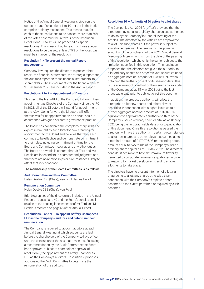Notice of the Annual General Meeting is given on the opposite page. Resolutions 1 to 10 set out in the Notice comprise ordinary resolutions. This means that, for each of those resolutions to be passed, more than 50% of the votes cast must be in favour of the resolution. Resolutions 11 to 12 will be proposed as special resolutions. This means that, for each of those special resolutions to be passed, at least 75% of the votes cast must be in favour of the resolution.

## **Resolution 1 – To present the Annual Report and Accounts**

Company law requires the directors to present their report, the financial statements, the strategic report and the auditor's report on those financial statements, to shareholders. These documents for the financial year to 31 December 2021 are included in the Annual Report.

## **Resolutions 2 to 7 – Appointment of Directors**

This being the first AGM of the Company following their appointment as Directors of the Company since the IPO in 2021, all of the Directors will stand for appointment at the AGM. Going forward the Directors will offer themselves for re-appointment on an annual basis in accordance with good corporate governance practice.

The Board has considered the complementary skills and expertise brought by each Director now standing for appointment to the Board and believes that they each continue to be effective and demonstrate commitment to their roles, including commitment of time for the Board and Committee meetings and any other duties. The Board as a whole is content that Mr Ford and Ms Deeble are independent in character and judgment and that there are no relationships or circumstances likely to affect that independence.

#### The membership of the Board Committees is as follows:

#### **Audit Committee and Risk Committee**

Helen Deeble CBE (Chair), Ken Ford, James Excell

#### **Remuneration Committee**

Helen Deeble CBE (Chair), Ken Ford

Brief biographies of the directors are included in the Annual Report on pages 48 to 49 and the Board's conclusions in relation to the ongoing independence of Mr Ford and Ms Deeble is recorded on page 56 of the Annual Report.

## **Resolutions 8 and 9 – To appoint Saffery Champness LLP as the Company's auditors and determine their remuneration**

The Company is required to appoint auditors at each Annual General Meeting at which accounts are laid before the shareholders of the Company, to hold office until the conclusion of the next such meeting. Following a recommendation by the Audit Committee the Board has approved, subject to shareholder approval of resolution 8, the appointment of Saffery Champness LLP as the Company's auditors. Resolution 9 proposes authorising the Audit Committee to determine the remuneration of the auditors.

## **Resolution 10 – Authority of Directors to allot shares**

The Companies Act 2006 (the "Act") provides that the directors may not allot ordinary shares unless authorised to do so by the Company in General Meeting or the Articles. The directors by the Articles are empowered to allot unissued shares but the power is subject to shareholder renewal. The renewal of this power is sought until the conclusion of the 2023 Annual General Meeting or fifteen months from the date of the passing of this resolution, whichever is the earlier, subject to the limitation specified in this resolution. This resolution proposes that the directors are given the authority to allot ordinary shares and other relevant securities up to an aggregate nominal amount of £239,898.99 without obtaining the further consent of its shareholders. This is the equivalent of one-third of the issued share capital of the Company as at 18 May 2022 being the last practicable date prior to publication of this document.

In addition, the proposed authority will allow the directors to allot new shares and other relevant securities in connection with a rights issue up to a further aggregate nominal amount of £239,898.99 equivalent to approximately a further one-third of the Company's issued ordinary share capital as at 18 May 2022 being the last practicable date prior to publication of this document. Once this resolution is passed the directors will have the authority in certain circumstances to allot new shares and other relevant securities up to a nominal amount of £479,797.98 representing a total amount equal to two-thirds of the Company's issued ordinary share capital as at 18 May 2022. The directors consider it desirable to have the maximum flexibility permitted by corporate governance guidelines in order to respond to market developments and to enable allotments to take place.

The directors have no present intention of allotting, or agreeing to allot, any shares otherwise than in connection with the Company's employee share schemes, to the extent permitted or required by such schemes.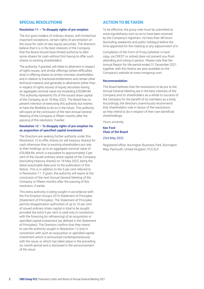## **SPECIAL RESOLUTIONS**

## **Resolution 11 – To disapply rights of pre-emption**

The Act gives holders of ordinary shares, with limited but important exceptions, certain rights of pre-emption on the issue for cash of new equity securities. The directors believe that it is in the best interests of the Company that the Board should have limited authority to allot some shares for cash without first having to offer such shares to existing shareholders.

The authority, if granted, will relate to allotment in respect of rights issues, and similar offerings (where difficulties arise in offering shares to certain overseas shareholders and in relation to fractional entitlements and certain other technical matters) and generally to allotments (other than in respect of rights issues) of equity securities having an aggregate nominal value not exceeding £35,984.84. This authority represents 5% of the issued share capital of the Company as at 18 May 2022. The Board has no present intention of exercising this authority but wishes to have the flexibility to do so in the future. This authority will expire at the conclusion of the next Annual General Meeting of the Company or fifteen months after the passing of this resolution, if earlier.

## **Resolution 12 – To disapply rights of pre-emption for an acquisition of specified capital investment**

The Directors are seeking further authority under this Resolution 12 to offer shares (or sell treasury shares) for cash otherwise than to existing shareholders pro rata to their holdings up to an aggregate nominal value of £35,984.84, which is equivalent to approximately 5 per cent of the issued ordinary share capital of the Company (excluding treasury shares) on 18 May 2022, being the latest practicable date prior to the publication of this Notice. This is in addition to the 5 per cent referred to in Resolution 11. If given, the authority will expire at the conclusion of the next Annual General Meeting of the Company or fifteen months after the passing of this resolution, if earlier.

This extra authority is being sought in accordance with the Pre-Emption Group's 2015 Statement of Principles (Statement of Principles). The Statement of Principles permits disapplication authorities of up to 10 per cent of issued ordinary share capital in total to be sought provided the extra 5 per cent is used only in connection with the financing (or refinancing) of an acquisition or specified capital investment (as defined in the Statement of Principles). The Directors confirm that they intend to use the authority sought in Resolution 12 only in connection with such an acquisition or specified capital investment which is announced contemporaneously with the issue, or which has taken place in the preceding six month period and is disclosed in the announcement of the issue.

## **ACTION TO BE TAKEN**

To be effective, the proxy vote must be submitted at www.signalshares.com so as to have been received by the Company's registrars. not less than 48 hours (excluding weekends and public holidays) before the time appointed for the meeting or any adjournment of it.

Completion of the Form of Proxy (whether in hard copy, via CREST or online) does not prevent you from attending and voting in person. Please note that the Annual Report for the period ended 31 December 2021 together with this Notice are also available on the Company's website at www.cmogroup.com.

## **Recommendation**

The Board believes that the resolutions to be put to the Annual General Meeting are in the best interests of the Company and its shareholders as a whole to success of the Company for the benefit of its members as a body. Accordingly, the directors unanimously recommend that shareholders vote in favour of the resolutions as they intend to do in respect of their own beneficial shareholdings.

Yours sincerely,

## **Ken Ford Chair of the Board**

## 23rd May 2022

Registered office: Burrington Business Park, Burrington Way, Plymouth, United Kingdom, PL5 3LX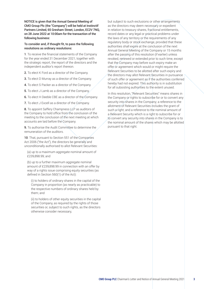NOTICE is given that the Annual General Meeting of CMO Group Plc (the "Company") will be held at Instinctif Partners Limited, 65 Gresham Street, London, EC2V 7NQ, on 28 June 2022 at 10:00am for the transaction of the following business:

## To consider and, if thought fit, to pass the following resolutions as ordinary resolutions:

1. To receive the financial statements of the Company for the year ended 31 December 2021, together with the strategic report, the report of the directors and the independent auditor's report thereon.

2. To elect K Ford as a director of the Company.

3. To elect D Murray as a director of the Company.

4. To elect S Packer as a director of the Company.

**5.** To elect J Lamb as a director of the Company,

6. To elect H Deeble CBE as a director of the Company.

7. To elect J Excell as a director of the Company.

8. To appoint Saffery Champness  $\mathsf{LLP}$  as auditors of the Company to hold office from the conclusion of the meeting to the conclusion of the next meeting at which accounts are laid before the Company.

9. To authorise the Audit Committee to determine the remuneration of the auditors.

10. That, pursuant to Section 551 of the Companies Act 2006 ("the Act"), the directors be generally and unconditionally authorised to allot Relevant Securities:

(a) up to a maximum aggregate nominal amount of £239,898.99; and

(b) up to a further maximum aggregate nominal amount of £239,898.99 in connection with an offer by way of a rights issue comprising equity securities (as defined in Section 560(1) of the Act):

(i) to holders of ordinary shares in the capital of the Company in proportion (as nearly as practicable) to the respective numbers of ordinary shares held by them; and

(ii) to holders of other equity securities in the capital of the Company, as required by the rights of those securities or, subject to such rights, as the directors otherwise consider necessary,

but subject to such exclusions or other arrangements as the directors may deem necessary or expedient in relation to treasury shares, fractional entitlements, record dates or any legal or practical problems under the laws of any territory or the requirements of any regulatory body or stock exchange, provided that these authorities shall expire at the conclusion of the next Annual General Meeting of the Company or 15 months after the passing of this resolution (if earlier) unless revoked, renewed or extended prior to such time, except that the Company may before such expiry make an offer or agreement which would or might require the Relevant Securities to be allotted after such expiry and the directors may allot Relevant Securities in pursuance of such offer or agreement as if the authorities conferred hereby had not expired. This authority is in substitution for all subsisting authorities to the extent unused.

In this resolution, "Relevant Securities" means shares in the Company or rights to subscribe for or to convert any security into shares in the Company; a reference to the allotment of Relevant Securities includes the grant of such a right; and a reference to the nominal amount of a Relevant Security which is a right to subscribe for or to convert any security into shares in the Company is to the nominal amount of the shares which may be allotted pursuant to that right.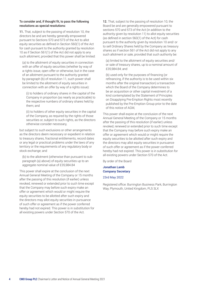## To consider and, if thought fit, to pass the following resolutions as special resolutions:

11. That, subject to the passing of resolution 10, the directors be and are hereby generally empowered pursuant to Sections 570 and 573 of the Act to allot equity securities as defined in Section 560(1) of the Act for cash pursuant to the authority granted by resolution 10 as if Section 561(1) of the Act did not apply to any such allotment, provided that this power shall be limited:

(a) to the allotment of equity securities in connection with an offer of equity securities (whether by way of a rights issue, open offer or otherwise, but in the case of an allotment pursuant to the authority granted by paragraph (b) of resolution 11, such power shall be limited to the allotment of equity securities in connection with an offer by way of a rights issue):

(i) to holders of ordinary shares in the capital of the Company in proportion (as nearly as practicable) to the respective numbers of ordinary shares held by them; and

(ii) to holders of other equity securities in the capital of the Company, as required by the rights of those securities or, subject to such rights, as the directors otherwise consider necessary,

but subject to such exclusions or other arrangements as the directors deem necessary or expedient in relation to treasury shares, fractional entitlements, record dates or any legal or practical problems under the laws of any territory or the requirements of any regulatory body or stock exchange; and

(b) to the allotment (otherwise than pursuant to subparagraph (a) above) of equity securities up to an aggregate nominal value of £35,984.84

This power shall expire at the conclusion of the next Annual General Meeting of the Company or 15 months after the passing of this resolution (if earlier) unless revoked, renewed or extended prior to such time except that the Company may before such expiry make an offer or agreement which would or might require the equity securities to be allotted after such expiry and the directors may allot equity securities in pursuance of such offer or agreement as if the power conferred hereby had not expired. This power is in substitution for all existing powers under Section 570 of the Act.

12. That, subject to the passing of resolution 10, the Board be and are generally empowered pursuant to sections 570 and 573 of the Act (in addition to the authority given by resolution 11) to allot equity securities (as defined in section 560(1) of the Act) for cash pursuant to the authority given by resolution 10 and/ or to sell Ordinary Shares held by the Company as treasury shares as if section 561 of the Act did not apply to any such allotment or sale, provided that such authority be:

(a) limited to the allotment of equity securities and/ or sale of treasury shares, up to a nominal amount of £35,984.84; and

(b) used only for the purposes of financing (or refinancing, if the authority is to be used within six months after the original transaction) a transaction which the Board of the Company determines to be an acquisition or other capital investment of a kind contemplated by the Statement of Principles on Disapplying Pre-Emption Rights most recently published by the Pre-Emption Group prior to the date of this notice of AGM,

This power shall expire at the conclusion of the next Annual General Meeting of the Company or 15 months after the passing of this resolution (if earlier) unless revoked, renewed or extended prior to such time except that the Company may before such expiry make an offer or agreement which would or might require the equity securities to be allotted after such expiry and the directors may allot equity securities in pursuance of such offer or agreement as if the power conferred hereby had not expired. This power is in substitution for all existing powers under Section 570 of the Act.

By order of the Board

## **Jonathan Lamb Company Secretary**

## 23rd May 2022

Registered office: Burrington Business Park, Burrington Way, Plymouth, United Kingdom, PL5 3LX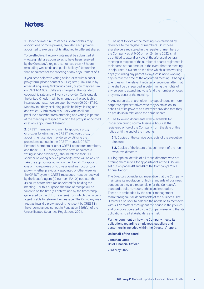## **Notes**

**1.** Under normal circumstances, shareholders may appoint one or more proxies, provided each proxy is appointed to exercise rights attached to different shares.

To be effective, the proxy vote must be submitted at www.signalshares.com so as to have been received by the Company's registrars. not less than 48 hours (excluding weekends and public holidays) before the time appointed for the meeting or any adjournment of it.

If you need help with voting online, or require a paper proxy form, please contact our Registrar, Link Group by email at enquiries@linkgroup.co.uk, or you may call Link on 0371 664 0391 Calls are charged at the standard geographic rate and will vary by provider. Calls outside the United Kingdom will be charged at the applicable international rate. We are open between 09:00 - 17:30, Monday to Friday excluding public holidays in England and Wales. Submission of a Proxy vote shall not preclude a member from attending and voting in person at the meeting in respect of which the proxy is appointed or at any adjournment thereof.

**2**. CREST members who wish to appoint a proxy or proxies by utilising the CREST electronic proxy appointment service may do so by utilising the procedures set out in the CREST manual. CREST Personal Members or other CREST sponsored members, and those CREST members who have appointed a voting service provider(s), should refer to their CREST sponsor or voting service provider(s) who will be able to take the appropriate action on their behalf. To appoint one or more proxies or to give a valid instruction to a proxy (whether previously appointed or otherwise) via the CREST system, CREST messages must be received by the issuer's agent (ID number [RA10]) not later than 48 hours before the time appointed for holding the meeting. For this purpose, the time of receipt will be taken to be the time (as determined by the timestamp generated by the CREST system) from which the issuer's agent is able to retrieve the message. The Company may treat as invalid a proxy appointment sent by CREST in the circumstances set out in Regulation 35(5)(a) of the Uncertificated Securities Regulations 2001.

**3.** The right to vote at the meeting is determined by reference to the register of members. Only those shareholders registered in the register of members of the Company as at 6.00 pm on 24 June 2022, shall be entitled to attend or vote at the aforesaid general meeting in respect of the number of shares registered in their name at that time (or in the event that the meeting is adjourned, 6.00 pm on the date which is two working days (excluding any part of a day that is not a working day) before the time of the adjourned meeting). Changes to entries on the relevant register of securities after that time shall be disregarded in determining the rights of any person to attend and vote (and the number of votes they may cast) at the meeting.

**4.** Any corporate shareholder may appoint one or more corporate representatives who may exercise on its behalf all of its powers as a member provided that they do not do so in relation to the same shares.

**5.** The following documents will be available for inspection during normal business hours at the registered office of the Company from the date of this notice until the end of the meeting:

**5.1.** Copies of the service contracts of the executive directors;

**5.2.** Copies of the letters of appointment of the nonexecutive directors.

**6.** Biographical details of all those directors who are offering themselves for appointment at the AGM are set out on pages 48 and 49 of the Company's 2021 Annual Report.

The Directors consider it's imperative that the Company maintains its reputation for high standards of business conduct as they are responsible for the Company's standards, culture, values, ethics and reputation. These are embedded by the senior management team throughout all departments of the business. The Directors also seek to balance the needs of its members with s.172 matters throughout the period in the policies and practices operated by the Company ensuring that its obligations to all stakeholders are met.

Further comment on how the Company meets its obligations regarding employees, suppliers and customers is included within the Directors' report.

**On behalf of the board**

**Jonathan Lamb Chief Financial Officer**

23rd May 2022